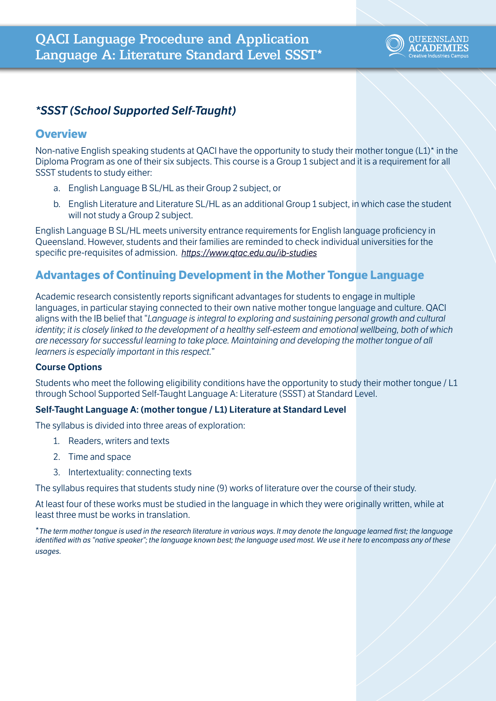

# *\*SSST (School Supported Self-Taught)*

## **Overview**

Non-native English speaking students at QACI have the opportunity to study their mother tongue (L1)\* in the Diploma Program as one of their six subjects. This course is a Group 1 subject and it is a requirement for all SSST students to study either:

- a. English Language B SL/HL as their Group 2 subject, or
- b. English Literature and Literature SL/HL as an additional Group 1 subject, in which case the student will not study a Group 2 subject.

English Language B SL/HL meets university entrance requirements for English language proficiency in Queensland. However, students and their families are reminded to check individual universities for the specific pre-requisites of admission. *<https://www.qtac.edu.au/ib-studies>*

## **Advantages of Continuing Development in the Mother Tongue Language**

Academic research consistently reports significant advantages for students to engage in multiple languages, in particular staying connected to their own native mother tongue language and culture. QACI aligns with the IB belief that "*Language is integral to exploring and sustaining personal growth and cultural identity; it is closely linked to the development of a healthy self-esteem and emotional wellbeing, both of which are necessary for successful learning to take place. Maintaining and developing the mother tongue of all learners is especially important in this respect.*"

### **Course Options**

Students who meet the following eligibility conditions have the opportunity to study their mother tongue / L1 through School Supported Self-Taught Language A: Literature (SSST) at Standard Level.

#### **Self-Taught Language A: (mother tongue / L1) Literature at Standard Level**

The syllabus is divided into three areas of exploration:

- 1. Readers, writers and texts
- 2. Time and space
- 3. Intertextuality: connecting texts

The syllabus requires that students study nine (9) works of literature over the course of their study.

At least four of these works must be studied in the language in which they were originally written, while at least three must be works in translation.

\**The term mother tongue is used in the research literature in various ways. It may denote the language learned first; the language identified with as "native speaker"; the language known best; the language used most. We use it here to encompass any of these usages.*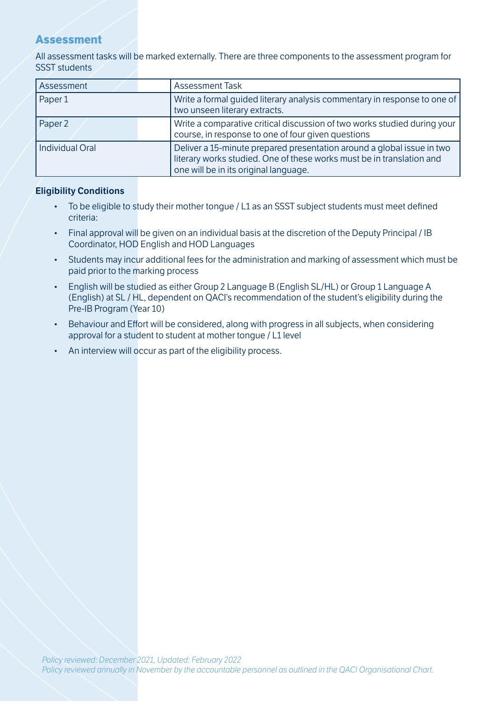## **Assessment**

All assessment tasks will be marked externally. There are three components to the assessment program for SSST students

| Assessment      | <b>Assessment Task</b>                                                                                                                                                                   |  |
|-----------------|------------------------------------------------------------------------------------------------------------------------------------------------------------------------------------------|--|
| Paper 1         | Write a formal quided literary analysis commentary in response to one of<br>two unseen literary extracts.                                                                                |  |
| Paper 2         | Write a comparative critical discussion of two works studied during your<br>course, in response to one of four given questions                                                           |  |
| Individual Oral | Deliver a 15-minute prepared presentation around a global issue in two<br>literary works studied. One of these works must be in translation and<br>one will be in its original language. |  |

#### **Eligibility Conditions**

- To be eligible to study their mother tongue / L1 as an SSST subject students must meet defined criteria:
- Final approval will be given on an individual basis at the discretion of the Deputy Principal / IB Coordinator, HOD English and HOD Languages
- Students may incur additional fees for the administration and marking of assessment which must be paid prior to the marking process
- English will be studied as either Group 2 Language B (English SL/HL) or Group 1 Language A (English) at SL / HL, dependent on QACI's recommendation of the student's eligibility during the Pre-IB Program (Year 10)
- Behaviour and Effort will be considered, along with progress in all subjects, when considering approval for a student to student at mother tongue / L1 level
- An interview will occur as part of the eligibility process.